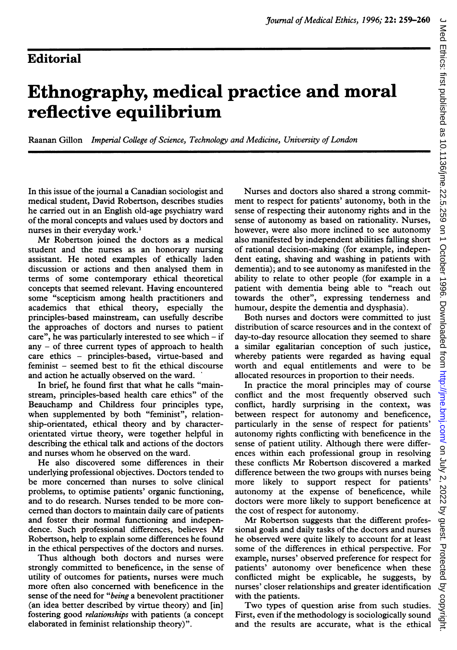## Ethnography, medical practice and moral reflective equilibrium

Raanan Gillon Imperial College of Science, Technology and Medicine, University of London

In this issue of the journal a Canadian sociologist and medical student, David Robertson, describes studies he carried out in an English old-age psychiatry ward of the moral concepts and values used by doctors and nurses in their everyday work.'

Mr Robertson joined the doctors as <sup>a</sup> medical student and the nurses as an honorary nursing assistant. He noted examples of ethically laden discussion or actions and then analysed them in terms of some contemporary ethical theoretical concepts that seemed relevant. Having encountered some "scepticism among health practitioners and academics that ethical theory, especially the principles-based mainstream, can usefully describe the approaches of doctors and nurses to patient care", he was particularly interested to see which  $-$  if any  $-$  of three current types of approach to health care ethics - principles-based, virtue-based and feminist - seemed best to fit the ethical discourse and action he actually observed on the ward.

In brief, he found first that what he calls "mainstream, principles-based health care ethics" of the Beauchamp and Childress four principles type, when supplemented by both "feminist", relationship-orientated, ethical theory and by characterorientated virtue theory, were together helpful in describing the ethical talk and actions of the doctors and nurses whom he observed on the ward.

He also discovered some differences in their underlying professional objectives. Doctors tended to be more concerned than nurses to solve clinical problems, to optimise patients' organic functioning, and to do research. Nurses tended to be more concerned than doctors to maintain daily care of patients and foster their normal functioning and independence. Such professional differences, believes Mr Robertson, help to explain some differences he found in the ethical perspectives of the doctors and nurses.

Thus although both doctors and nurses were strongly committed to beneficence, in the sense of utility of outcomes for patients, nurses were much more often also concerned with beneficence in the sense of the need for "being a benevolent practitioner (an idea better described by virtue theory) and [in] fostering good relationships with patients (a concept elaborated in feminist relationship theory)".

Nurses and doctors also shared a strong commitment to respect for patients' autonomy, both in the sense of respecting their autonomy rights and in the sense of autonomy as based on rationality. Nurses, however, were also more inclined to see autonomy also manifested by independent abilities falling short of rational decision-making (for example, independent eating, shaving and washing in patients with dementia); and to see autonomy as manifested in the ability to relate to other people (for example in a patient with dementia being able to "reach out towards the other", expressing tenderness and humour, despite the dementia and dysphasia).

Both nurses and doctors were committed to just distribution of scarce resources and in the context of day-to-day resource allocation they seemed to share a similar egalitarian conception of such justice, whereby patients were regarded as having equal worth and equal entitlements and were to be allocated resources in proportion to their needs.

In practice the moral principles may of course conflict and the most frequently observed such conflict, hardly surprising in the context, was between respect for autonomy and beneficence, particularly in the sense of respect for patients' autonomy rights conflicting with beneficence in the sense of patient utility. Although there were differences within each professional group in resolving these conflicts Mr Robertson discovered <sup>a</sup> marked difference between the two groups with nurses being more likely to support respect for patients' autonomy at the expense of beneficence, while doctors were more likely to support beneficence at the cost of respect for autonomy.

Mr Robertson suggests that the different professional goals and daily tasks of the doctors and nurses he observed were quite likely to account for at least some of the differences in ethical perspective. For example, nurses' observed preference for respect for patients' autonomy over beneficence when these conflicted might be explicable, he suggests, by nurses' closer relationships and greater identification with the patients.

Two types of question arise from such studies. First, even if the methodology is sociologically sound and the results are accurate, what is the ethical